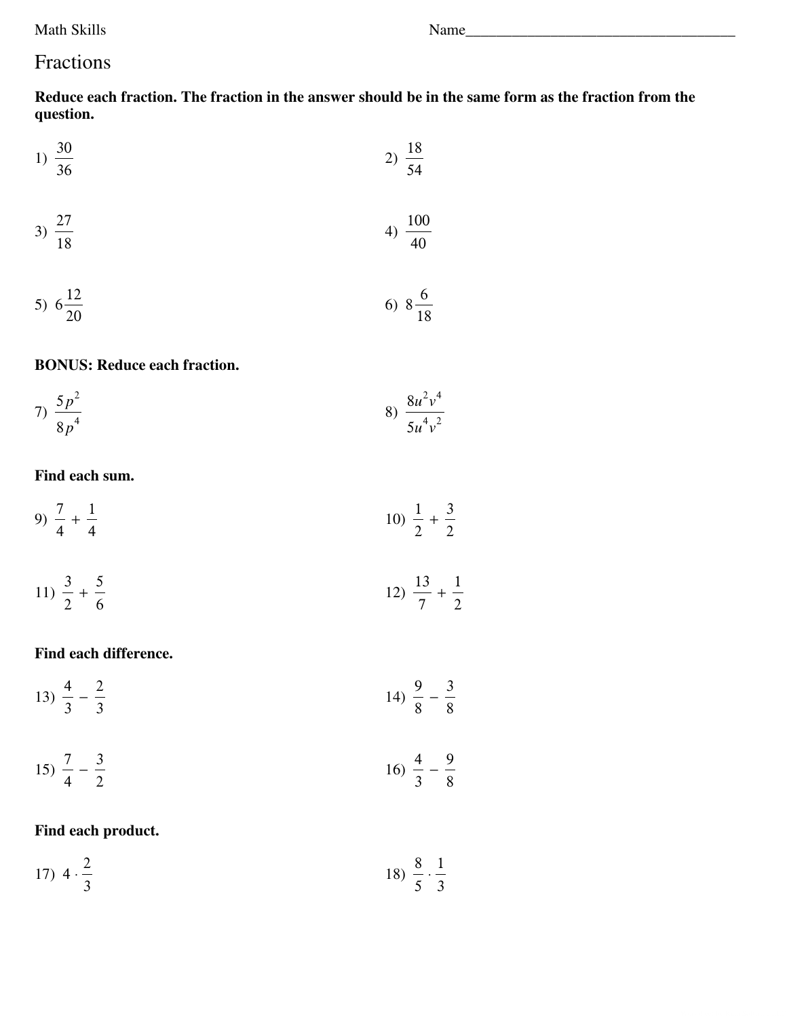**Math Skills** 

# Fractions

Reduce each fraction. The fraction in the answer should be in the same form as the fraction from the question.

1) 
$$
\frac{30}{36}
$$
 2)  $\frac{18}{54}$ 

$$
3) \frac{27}{18} \qquad \qquad 4) \frac{100}{40}
$$

5) 
$$
6\frac{12}{20}
$$
 6)  $8\frac{6}{18}$ 

#### **BONUS: Reduce each fraction.**

7) 
$$
\frac{5p^2}{8p^4}
$$
 8)  $\frac{8u^2v^4}{5u^4v^2}$ 

### Find each sum.

9) 
$$
\frac{7}{4} + \frac{1}{4}
$$
 10)  $\frac{1}{2} + \frac{3}{2}$ 

$$
11) \frac{3}{2} + \frac{5}{6}
$$
  $12) \frac{13}{7} + \frac{1}{2}$ 

#### Find each difference.

$$
13) \frac{4}{3} - \frac{2}{3} \qquad \qquad 14) \frac{9}{8} - \frac{3}{8}
$$

$$
15) \frac{7}{4} - \frac{3}{2} \qquad \qquad 16) \frac{4}{3} - \frac{9}{8}
$$

### Find each product.

17) 
$$
4 \cdot \frac{2}{3}
$$
 18)  $\frac{8}{5} \cdot \frac{1}{3}$